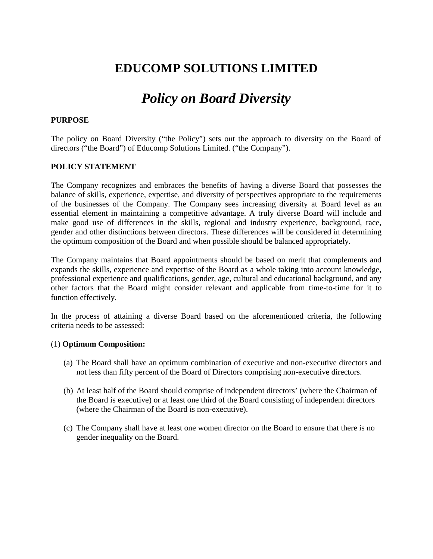## **EDUCOMP SOLUTIONS LIMITED**

# *Policy on Board Diversity*

## **PURPOSE**

The policy on Board Diversity ("the Policy") sets out the approach to diversity on the Board of directors ("the Board") of Educomp Solutions Limited. ("the Company").

## **POLICY STATEMENT**

The Company recognizes and embraces the benefits of having a diverse Board that possesses the balance of skills, experience, expertise, and diversity of perspectives appropriate to the requirements of the businesses of the Company. The Company sees increasing diversity at Board level as an essential element in maintaining a competitive advantage. A truly diverse Board will include and make good use of differences in the skills, regional and industry experience, background, race, gender and other distinctions between directors. These differences will be considered in determining the optimum composition of the Board and when possible should be balanced appropriately.

The Company maintains that Board appointments should be based on merit that complements and expands the skills, experience and expertise of the Board as a whole taking into account knowledge, professional experience and qualifications, gender, age, cultural and educational background, and any other factors that the Board might consider relevant and applicable from time-to-time for it to function effectively.

In the process of attaining a diverse Board based on the aforementioned criteria, the following criteria needs to be assessed:

#### (1) **Optimum Composition:**

- (a) The Board shall have an optimum combination of executive and non-executive directors and not less than fifty percent of the Board of Directors comprising non-executive directors.
- (b) At least half of the Board should comprise of independent directors' (where the Chairman of the Board is executive) or at least one third of the Board consisting of independent directors (where the Chairman of the Board is non-executive).
- (c) The Company shall have at least one women director on the Board to ensure that there is no gender inequality on the Board.